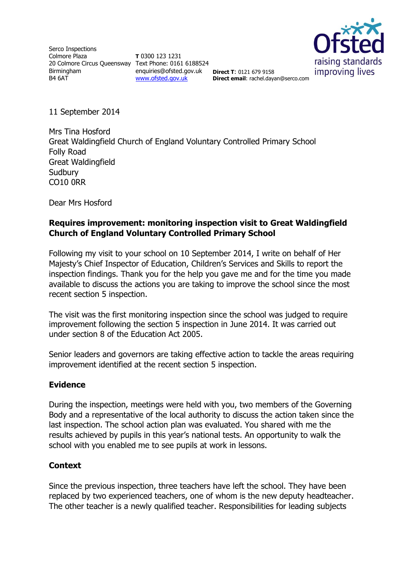Serco Inspections Colmore Plaza 20 Colmore Circus Queensway Text Phone: 0161 6188524 Birmingham B4 6AT

**T** 0300 123 1231 enquiries@ofsted.gov.uk **Direct T**: 0121 679 9158 [www.ofsted.gov.uk](http://www.ofsted.gov.uk/)



**Direct email**: rachel.dayan@serco.com

11 September 2014

Mrs Tina Hosford Great Waldingfield Church of England Voluntary Controlled Primary School Folly Road Great Waldingfield **Sudbury** CO10 0RR

Dear Mrs Hosford

## **Requires improvement: monitoring inspection visit to Great Waldingfield Church of England Voluntary Controlled Primary School**

Following my visit to your school on 10 September 2014, I write on behalf of Her Majesty's Chief Inspector of Education, Children's Services and Skills to report the inspection findings. Thank you for the help you gave me and for the time you made available to discuss the actions you are taking to improve the school since the most recent section 5 inspection.

The visit was the first monitoring inspection since the school was judged to require improvement following the section 5 inspection in June 2014. It was carried out under section 8 of the Education Act 2005.

Senior leaders and governors are taking effective action to tackle the areas requiring improvement identified at the recent section 5 inspection.

### **Evidence**

During the inspection, meetings were held with you, two members of the Governing Body and a representative of the local authority to discuss the action taken since the last inspection. The school action plan was evaluated. You shared with me the results achieved by pupils in this year's national tests. An opportunity to walk the school with you enabled me to see pupils at work in lessons.

### **Context**

Since the previous inspection, three teachers have left the school. They have been replaced by two experienced teachers, one of whom is the new deputy headteacher. The other teacher is a newly qualified teacher. Responsibilities for leading subjects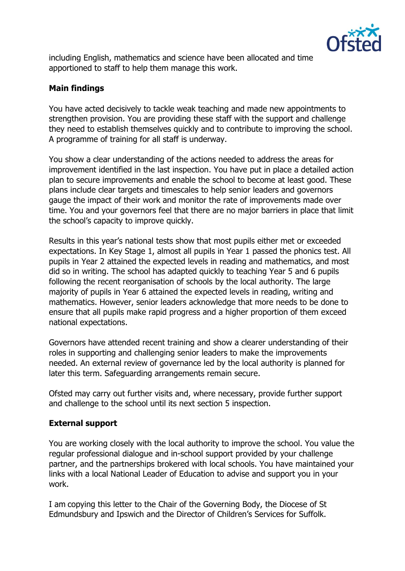

including English, mathematics and science have been allocated and time apportioned to staff to help them manage this work.

# **Main findings**

You have acted decisively to tackle weak teaching and made new appointments to strengthen provision. You are providing these staff with the support and challenge they need to establish themselves quickly and to contribute to improving the school. A programme of training for all staff is underway.

You show a clear understanding of the actions needed to address the areas for improvement identified in the last inspection. You have put in place a detailed action plan to secure improvements and enable the school to become at least good. These plans include clear targets and timescales to help senior leaders and governors gauge the impact of their work and monitor the rate of improvements made over time. You and your governors feel that there are no major barriers in place that limit the school's capacity to improve quickly.

Results in this year's national tests show that most pupils either met or exceeded expectations. In Key Stage 1, almost all pupils in Year 1 passed the phonics test. All pupils in Year 2 attained the expected levels in reading and mathematics, and most did so in writing. The school has adapted quickly to teaching Year 5 and 6 pupils following the recent reorganisation of schools by the local authority. The large majority of pupils in Year 6 attained the expected levels in reading, writing and mathematics. However, senior leaders acknowledge that more needs to be done to ensure that all pupils make rapid progress and a higher proportion of them exceed national expectations.

Governors have attended recent training and show a clearer understanding of their roles in supporting and challenging senior leaders to make the improvements needed. An external review of governance led by the local authority is planned for later this term. Safeguarding arrangements remain secure.

Ofsted may carry out further visits and, where necessary, provide further support and challenge to the school until its next section 5 inspection.

### **External support**

You are working closely with the local authority to improve the school. You value the regular professional dialogue and in-school support provided by your challenge partner, and the partnerships brokered with local schools. You have maintained your links with a local National Leader of Education to advise and support you in your work.

I am copying this letter to the Chair of the Governing Body, the Diocese of St Edmundsbury and Ipswich and the Director of Children's Services for Suffolk.